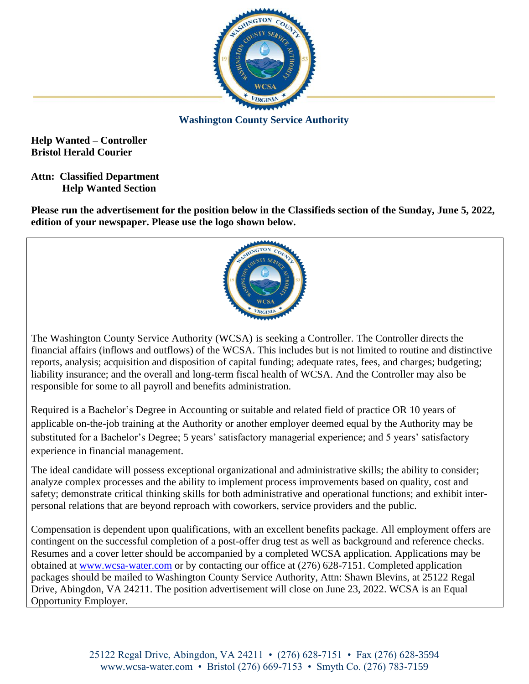

**Washington County Service Authority**

**Help Wanted – Controller Bristol Herald Courier**

**Attn: Classified Department Help Wanted Section**

**Please run the advertisement for the position below in the Classifieds section of the Sunday, June 5, 2022, edition of your newspaper. Please use the logo shown below.**



The Washington County Service Authority (WCSA) is seeking a Controller. The Controller directs the financial affairs (inflows and outflows) of the WCSA. This includes but is not limited to routine and distinctive reports, analysis; acquisition and disposition of capital funding; adequate rates, fees, and charges; budgeting; liability insurance; and the overall and long-term fiscal health of WCSA. And the Controller may also be responsible for some to all payroll and benefits administration.

Required is a Bachelor's Degree in Accounting or suitable and related field of practice OR 10 years of applicable on-the-job training at the Authority or another employer deemed equal by the Authority may be substituted for a Bachelor's Degree; 5 years' satisfactory managerial experience; and 5 years' satisfactory experience in financial management.

The ideal candidate will possess exceptional organizational and administrative skills; the ability to consider; analyze complex processes and the ability to implement process improvements based on quality, cost and safety; demonstrate critical thinking skills for both administrative and operational functions; and exhibit interpersonal relations that are beyond reproach with coworkers, service providers and the public.

Compensation is dependent upon qualifications, with an excellent benefits package. All employment offers are contingent on the successful completion of a post-offer drug test as well as background and reference checks. Resumes and a cover letter should be accompanied by a completed WCSA application. Applications may be obtained at [www.wcsa-water.com](http://www.wcsa-water.com/) or by contacting our office at (276) 628-7151. Completed application packages should be mailed to Washington County Service Authority, Attn: Shawn Blevins, at 25122 Regal Drive, Abingdon, VA 24211. The position advertisement will close on June 23, 2022. WCSA is an Equal Opportunity Employer.